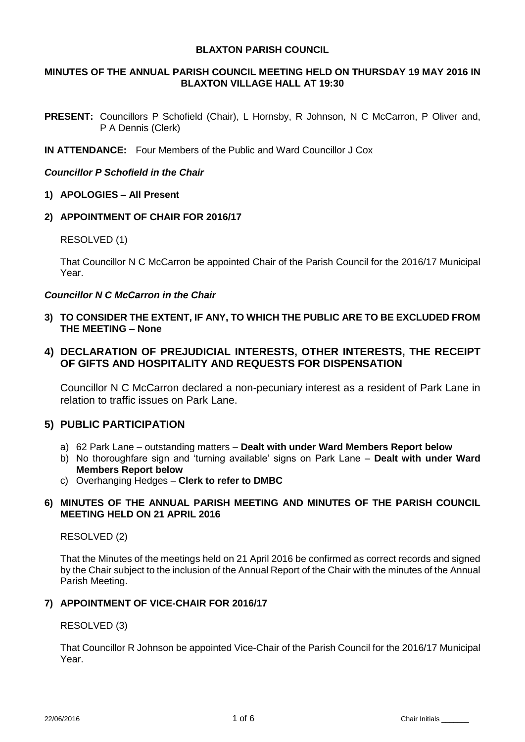## **BLAXTON PARISH COUNCIL**

# **MINUTES OF THE ANNUAL PARISH COUNCIL MEETING HELD ON THURSDAY 19 MAY 2016 IN BLAXTON VILLAGE HALL AT 19:30**

PRESENT: Councillors P Schofield (Chair), L Hornsby, R Johnson, N C McCarron, P Oliver and, P A Dennis (Clerk)

**IN ATTENDANCE:** Four Members of the Public and Ward Councillor J Cox

# *Councillor P Schofield in the Chair*

- **1) APOLOGIES – All Present**
- **2) APPOINTMENT OF CHAIR FOR 2016/17**

## RESOLVED (1)

That Councillor N C McCarron be appointed Chair of the Parish Council for the 2016/17 Municipal Year.

## *Councillor N C McCarron in the Chair*

- **3) TO CONSIDER THE EXTENT, IF ANY, TO WHICH THE PUBLIC ARE TO BE EXCLUDED FROM THE MEETING – None**
- **4) DECLARATION OF PREJUDICIAL INTERESTS, OTHER INTERESTS, THE RECEIPT OF GIFTS AND HOSPITALITY AND REQUESTS FOR DISPENSATION**

Councillor N C McCarron declared a non-pecuniary interest as a resident of Park Lane in relation to traffic issues on Park Lane.

# **5) PUBLIC PARTICIPATION**

- a) 62 Park Lane outstanding matters **Dealt with under Ward Members Report below**
- b) No thoroughfare sign and 'turning available' signs on Park Lane **Dealt with under Ward Members Report below**
- c) Overhanging Hedges **Clerk to refer to DMBC**

# **6) MINUTES OF THE ANNUAL PARISH MEETING AND MINUTES OF THE PARISH COUNCIL MEETING HELD ON 21 APRIL 2016**

# RESOLVED (2)

That the Minutes of the meetings held on 21 April 2016 be confirmed as correct records and signed by the Chair subject to the inclusion of the Annual Report of the Chair with the minutes of the Annual Parish Meeting.

# **7) APPOINTMENT OF VICE-CHAIR FOR 2016/17**

#### RESOLVED (3)

That Councillor R Johnson be appointed Vice-Chair of the Parish Council for the 2016/17 Municipal Year.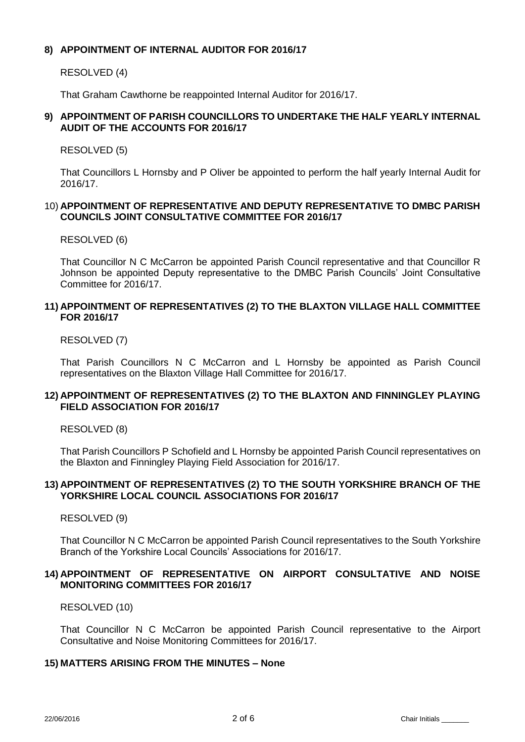# **8) APPOINTMENT OF INTERNAL AUDITOR FOR 2016/17**

RESOLVED (4)

That Graham Cawthorne be reappointed Internal Auditor for 2016/17.

# **9) APPOINTMENT OF PARISH COUNCILLORS TO UNDERTAKE THE HALF YEARLY INTERNAL AUDIT OF THE ACCOUNTS FOR 2016/17**

RESOLVED (5)

That Councillors L Hornsby and P Oliver be appointed to perform the half yearly Internal Audit for 2016/17.

## 10) **APPOINTMENT OF REPRESENTATIVE AND DEPUTY REPRESENTATIVE TO DMBC PARISH COUNCILS JOINT CONSULTATIVE COMMITTEE FOR 2016/17**

RESOLVED (6)

That Councillor N C McCarron be appointed Parish Council representative and that Councillor R Johnson be appointed Deputy representative to the DMBC Parish Councils' Joint Consultative Committee for 2016/17.

# **11) APPOINTMENT OF REPRESENTATIVES (2) TO THE BLAXTON VILLAGE HALL COMMITTEE FOR 2016/17**

RESOLVED (7)

That Parish Councillors N C McCarron and L Hornsby be appointed as Parish Council representatives on the Blaxton Village Hall Committee for 2016/17.

# **12) APPOINTMENT OF REPRESENTATIVES (2) TO THE BLAXTON AND FINNINGLEY PLAYING FIELD ASSOCIATION FOR 2016/17**

RESOLVED (8)

That Parish Councillors P Schofield and L Hornsby be appointed Parish Council representatives on the Blaxton and Finningley Playing Field Association for 2016/17.

# **13) APPOINTMENT OF REPRESENTATIVES (2) TO THE SOUTH YORKSHIRE BRANCH OF THE YORKSHIRE LOCAL COUNCIL ASSOCIATIONS FOR 2016/17**

RESOLVED (9)

That Councillor N C McCarron be appointed Parish Council representatives to the South Yorkshire Branch of the Yorkshire Local Councils' Associations for 2016/17.

# **14) APPOINTMENT OF REPRESENTATIVE ON AIRPORT CONSULTATIVE AND NOISE MONITORING COMMITTEES FOR 2016/17**

RESOLVED (10)

That Councillor N C McCarron be appointed Parish Council representative to the Airport Consultative and Noise Monitoring Committees for 2016/17.

# **15) MATTERS ARISING FROM THE MINUTES – None**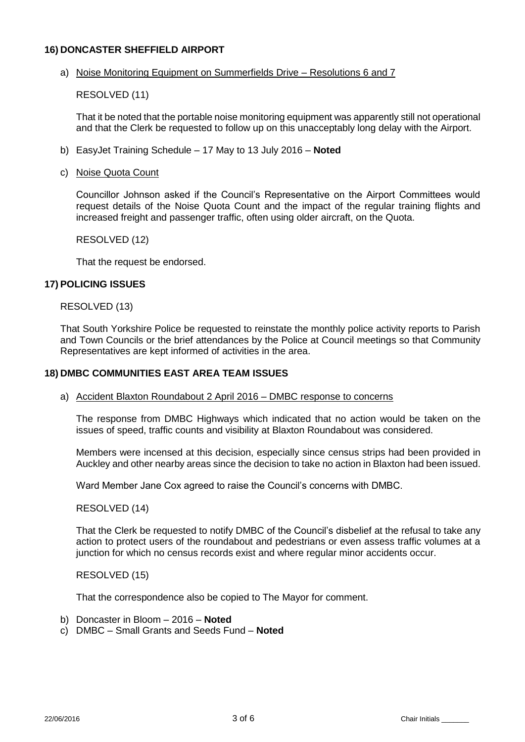# **16) DONCASTER SHEFFIELD AIRPORT**

## a) Noise Monitoring Equipment on Summerfields Drive – Resolutions 6 and 7

RESOLVED (11)

That it be noted that the portable noise monitoring equipment was apparently still not operational and that the Clerk be requested to follow up on this unacceptably long delay with the Airport.

b) EasyJet Training Schedule – 17 May to 13 July 2016 – **Noted**

## c) Noise Quota Count

Councillor Johnson asked if the Council's Representative on the Airport Committees would request details of the Noise Quota Count and the impact of the regular training flights and increased freight and passenger traffic, often using older aircraft, on the Quota.

RESOLVED (12)

That the request be endorsed.

## **17) POLICING ISSUES**

#### RESOLVED (13)

That South Yorkshire Police be requested to reinstate the monthly police activity reports to Parish and Town Councils or the brief attendances by the Police at Council meetings so that Community Representatives are kept informed of activities in the area.

## **18) DMBC COMMUNITIES EAST AREA TEAM ISSUES**

#### a) Accident Blaxton Roundabout 2 April 2016 – DMBC response to concerns

The response from DMBC Highways which indicated that no action would be taken on the issues of speed, traffic counts and visibility at Blaxton Roundabout was considered.

Members were incensed at this decision, especially since census strips had been provided in Auckley and other nearby areas since the decision to take no action in Blaxton had been issued.

Ward Member Jane Cox agreed to raise the Council's concerns with DMBC.

#### RESOLVED (14)

That the Clerk be requested to notify DMBC of the Council's disbelief at the refusal to take any action to protect users of the roundabout and pedestrians or even assess traffic volumes at a junction for which no census records exist and where regular minor accidents occur.

RESOLVED (15)

That the correspondence also be copied to The Mayor for comment.

- b) Doncaster in Bloom 2016 **Noted**
- c) DMBC Small Grants and Seeds Fund **Noted**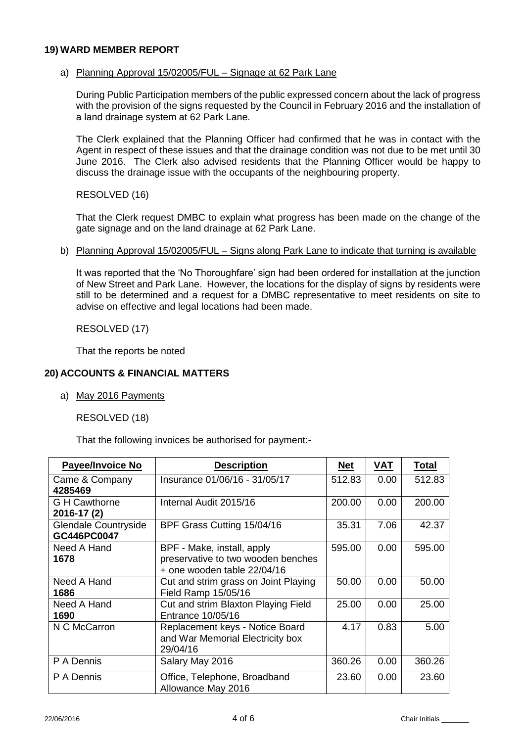## **19) WARD MEMBER REPORT**

## a) Planning Approval 15/02005/FUL – Signage at 62 Park Lane

During Public Participation members of the public expressed concern about the lack of progress with the provision of the signs requested by the Council in February 2016 and the installation of a land drainage system at 62 Park Lane.

The Clerk explained that the Planning Officer had confirmed that he was in contact with the Agent in respect of these issues and that the drainage condition was not due to be met until 30 June 2016. The Clerk also advised residents that the Planning Officer would be happy to discuss the drainage issue with the occupants of the neighbouring property.

RESOLVED (16)

That the Clerk request DMBC to explain what progress has been made on the change of the gate signage and on the land drainage at 62 Park Lane.

#### b) Planning Approval 15/02005/FUL – Signs along Park Lane to indicate that turning is available

It was reported that the 'No Thoroughfare' sign had been ordered for installation at the junction of New Street and Park Lane. However, the locations for the display of signs by residents were still to be determined and a request for a DMBC representative to meet residents on site to advise on effective and legal locations had been made.

RESOLVED (17)

That the reports be noted

## **20) ACCOUNTS & FINANCIAL MATTERS**

a) May 2016 Payments

RESOLVED (18)

That the following invoices be authorised for payment:-

| Payee/Invoice No                    | <b>Description</b>                                                                              | <b>Net</b> | <b>VAT</b> | <b>Total</b> |
|-------------------------------------|-------------------------------------------------------------------------------------------------|------------|------------|--------------|
| Came & Company<br>4285469           | Insurance 01/06/16 - 31/05/17                                                                   | 512.83     | 0.00       | 512.83       |
| <b>G</b> H Cawthorne<br>2016-17 (2) | Internal Audit 2015/16                                                                          | 200.00     | 0.00       | 200.00       |
| Glendale Countryside<br>GC446PC0047 | BPF Grass Cutting 15/04/16                                                                      | 35.31      | 7.06       | 42.37        |
| Need A Hand<br>1678                 | BPF - Make, install, apply<br>preservative to two wooden benches<br>+ one wooden table 22/04/16 | 595.00     | 0.00       | 595.00       |
| Need A Hand<br>1686                 | Cut and strim grass on Joint Playing<br>Field Ramp 15/05/16                                     | 50.00      | 0.00       | 50.00        |
| Need A Hand<br>1690                 | Cut and strim Blaxton Playing Field<br>Entrance 10/05/16                                        | 25.00      | 0.00       | 25.00        |
| N C McCarron                        | Replacement keys - Notice Board<br>and War Memorial Electricity box<br>29/04/16                 | 4.17       | 0.83       | 5.00         |
| P A Dennis                          | Salary May 2016                                                                                 | 360.26     | 0.00       | 360.26       |
| P A Dennis                          | Office, Telephone, Broadband<br>Allowance May 2016                                              | 23.60      | 0.00       | 23.60        |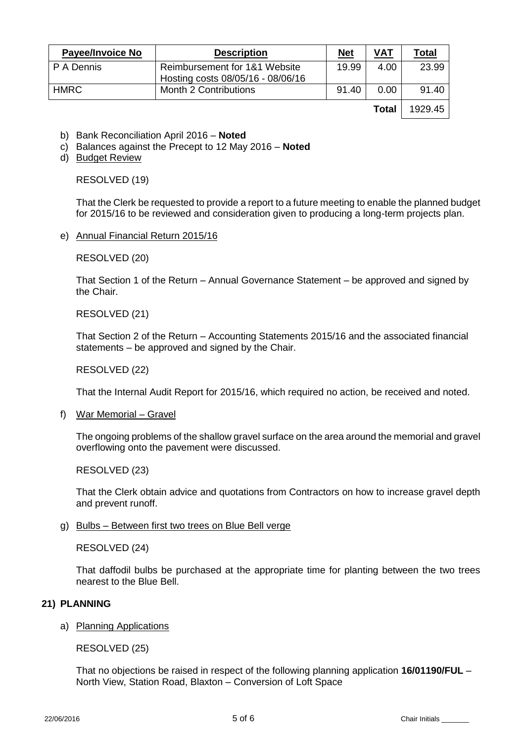| <b>Payee/Invoice No</b> | <b>Description</b>                                                 | <u>Net</u> | <u>VAT</u> | <u>Total</u> |
|-------------------------|--------------------------------------------------------------------|------------|------------|--------------|
| P A Dennis              | Reimbursement for 1&1 Website<br>Hosting costs 08/05/16 - 08/06/16 | 19.99      | 4.00       | 23.99        |
| <b>HMRC</b>             | Month 2 Contributions                                              | 91.40      | 0.00       | 91.40        |
|                         |                                                                    |            | Total      | 1929.45      |

- b) Bank Reconciliation April 2016 **Noted**
- c) Balances against the Precept to 12 May 2016 **Noted**
- d) Budget Review

RESOLVED (19)

That the Clerk be requested to provide a report to a future meeting to enable the planned budget for 2015/16 to be reviewed and consideration given to producing a long-term projects plan.

e) Annual Financial Return 2015/16

RESOLVED (20)

That Section 1 of the Return – Annual Governance Statement – be approved and signed by the Chair.

RESOLVED (21)

That Section 2 of the Return – Accounting Statements 2015/16 and the associated financial statements – be approved and signed by the Chair.

RESOLVED (22)

That the Internal Audit Report for 2015/16, which required no action, be received and noted.

f) War Memorial – Gravel

The ongoing problems of the shallow gravel surface on the area around the memorial and gravel overflowing onto the pavement were discussed.

RESOLVED (23)

That the Clerk obtain advice and quotations from Contractors on how to increase gravel depth and prevent runoff.

g) Bulbs – Between first two trees on Blue Bell verge

RESOLVED (24)

That daffodil bulbs be purchased at the appropriate time for planting between the two trees nearest to the Blue Bell.

### **21) PLANNING**

a) Planning Applications

RESOLVED (25)

That no objections be raised in respect of the following planning application **16/01190/FUL** – North View, Station Road, Blaxton – Conversion of Loft Space